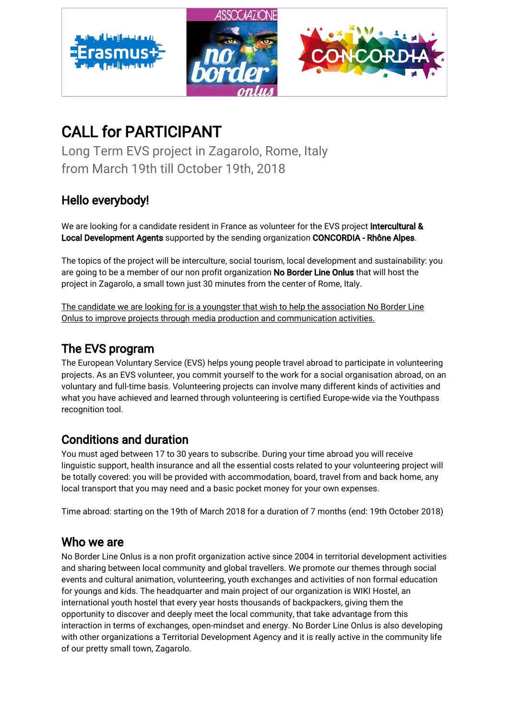

# CALL for PARTICIPANT

Long Term EVS project in Zagarolo, Rome, Italy from March 19th till October 19th, 2018

# Hello everybody!

We are looking for a candidate resident in France as volunteer for the EVS project Intercultural & Local Development Agents supported by the sending organization CONCORDIA - Rhône Alpes.

The topics of the project will be interculture, social tourism, local development and sustainability: you are going to be a member of our non profit organization No Border Line Onlus that will host the project in Zagarolo, a small town just 30 minutes from the center of Rome, Italy.

The candidate we are looking for is a youngster that wish to help the association No Border Line Onlus to improve projects through media production and communication activities.

### The EVS program

The European Voluntary Service (EVS) helps young people travel abroad to participate in volunteering projects. As an EVS volunteer, you commit yourself to the work for a social organisation abroad, on an voluntary and full-time basis. Volunteering projects can involve many different kinds of activities and what you have achieved and learned through volunteering is certified Europe-wide via the Youthpass recognition tool.

## Conditions and duration

You must aged between 17 to 30 years to subscribe. During your time abroad you will receive linguistic support, health insurance and all the essential costs related to your volunteering project will be totally covered: you will be provided with accommodation, board, travel from and back home, any local transport that you may need and a basic pocket money for your own expenses.

Time abroad: starting on the 19th of March 2018 for a duration of 7 months (end: 19th October 2018)

### Who we are

No Border Line Onlus is a non profit organization active since 2004 in territorial development activities and sharing between local community and global travellers. We promote our themes through social events and cultural animation, volunteering, youth exchanges and activities of non formal education for youngs and kids. The headquarter and main project of our organization is WIKI Hostel, an international youth hostel that every year hosts thousands of backpackers, giving them the opportunity to discover and deeply meet the local community, that take advantage from this interaction in terms of exchanges, open-mindset and energy. No Border Line Onlus is also developing with other organizations a Territorial Development Agency and it is really active in the community life of our pretty small town, Zagarolo.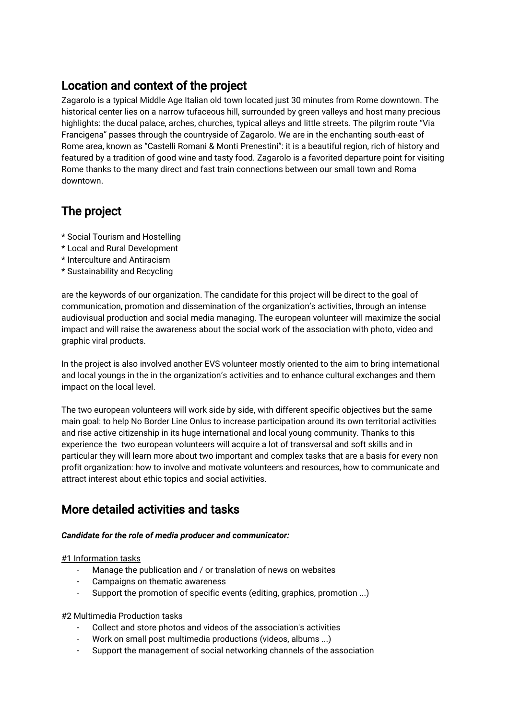### Location and context of the project

Zagarolo is a typical Middle Age Italian old town located just 30 minutes from Rome downtown. The historical center lies on a narrow tufaceous hill, surrounded by green valleys and host many precious highlights: the ducal palace, arches, churches, typical alleys and little streets. The pilgrim route "Via Francigena" passes through the countryside of Zagarolo. We are in the enchanting south-east of Rome area, known as "Castelli Romani & Monti Prenestini": it is a beautiful region, rich of history and featured by a tradition of good wine and tasty food. Zagarolo is a favorited departure point for visiting Rome thanks to the many direct and fast train connections between our small town and Roma downtown.

## The project

- \* Social Tourism and Hostelling
- \* Local and Rural Development
- \* Interculture and Antiracism
- \* Sustainability and Recycling

are the keywords of our organization. The candidate for this project will be direct to the goal of communication, promotion and dissemination of the organization's activities, through an intense audiovisual production and social media managing. The european volunteer will maximize the social impact and will raise the awareness about the social work of the association with photo, video and graphic viral products.

In the project is also involved another EVS volunteer mostly oriented to the aim to bring international and local youngs in the in the organization's activities and to enhance cultural exchanges and them impact on the local level.

The two european volunteers will work side by side, with different specific objectives but the same main goal: to help No Border Line Onlus to increase participation around its own territorial activities and rise active citizenship in its huge international and local young community. Thanks to this experience the two european volunteers will acquire a lot of transversal and soft skills and in particular they will learn more about two important and complex tasks that are a basis for every non profit organization: how to involve and motivate volunteers and resources, how to communicate and attract interest about ethic topics and social activities.

## More detailed activities and tasks

#### *Candidate for the role of media producer and communicator:*

#### #1 Information tasks

- Manage the publication and / or translation of news on websites
- Campaigns on thematic awareness
- Support the promotion of specific events (editing, graphics, promotion ...)

#### #2 Multimedia Production tasks

- Collect and store photos and videos of the association's activities
- Work on small post multimedia productions (videos, albums ...)
- Support the management of social networking channels of the association